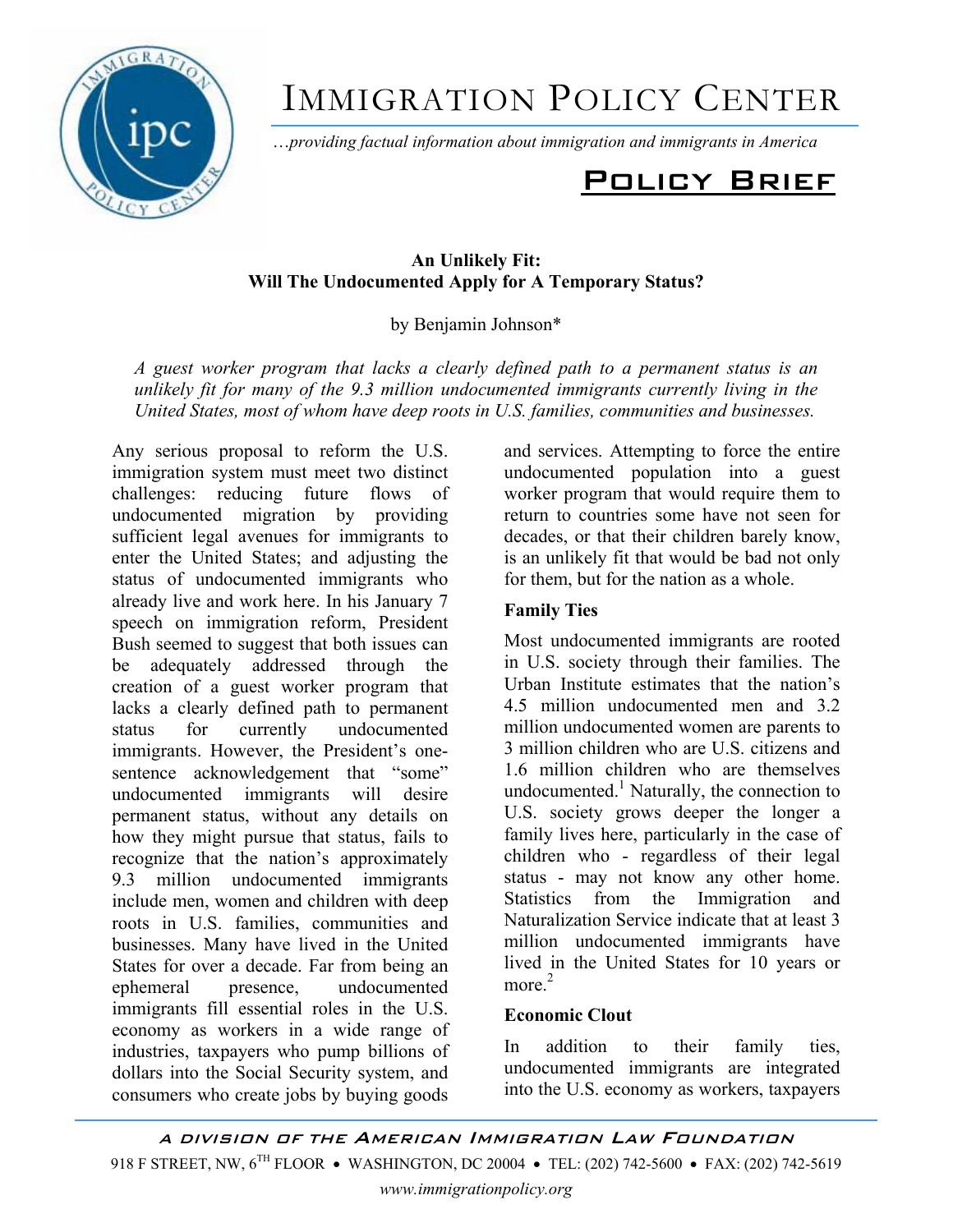

# IMMIGRATION POLICY CENTER

Ö*providing factual information about immigration and immigrants in America*

## Policy Brief

#### **An Unlikely Fit: Will The Undocumented Apply for A Temporary Status?**

by Benjamin Johnson\*

*A guest worker program that lacks a clearly defined path to a permanent status is an unlikely fit for many of the 9.3 million undocumented immigrants currently living in the United States, most of whom have deep roots in U.S. families, communities and businesses.* 

Any serious proposal to reform the U.S. immigration system must meet two distinct challenges: reducing future flows of undocumented migration by providing sufficient legal avenues for immigrants to enter the United States; and adjusting the status of undocumented immigrants who already live and work here. In his January 7 speech on immigration reform, President Bush seemed to suggest that both issues can be adequately addressed through the creation of a guest worker program that lacks a clearly defined path to permanent status for currently undocumented immigrants. However, the President's onesentence acknowledgement that "some" undocumented immigrants will desire permanent status, without any details on how they might pursue that status, fails to recognize that the nation's approximately 9.3 million undocumented immigrants include men, women and children with deep roots in U.S. families, communities and businesses. Many have lived in the United States for over a decade. Far from being an ephemeral presence, undocumented immigrants fill essential roles in the U.S. economy as workers in a wide range of industries, taxpayers who pump billions of dollars into the Social Security system, and consumers who create jobs by buying goods

and services. Attempting to force the entire undocumented population into a guest worker program that would require them to return to countries some have not seen for decades, or that their children barely know, is an unlikely fit that would be bad not only for them, but for the nation as a whole.

### **Family Ties**

Most undocumented immigrants are rooted in U.S. society through their families. The Urban Institute estimates that the nation's 4.5 million undocumented men and 3.2 million undocumented women are parents to 3 million children who are U.S. citizens and 1.6 million children who are themselves undocumented.<sup>1</sup> Naturally, the connection to U.S. society grows deeper the longer a family lives here, particularly in the case of children who - regardless of their legal status - may not know any other home. Statistics from the Immigration and Naturalization Service indicate that at least 3 million undocumented immigrants have lived in the United States for 10 years or more  $2$ 

### **Economic Clout**

In addition to their family ties, undocumented immigrants are integrated into the U.S. economy as workers, taxpayers

A DIVISION OF THE AMERICAN IMMIGRATION LAW FOUNDATION 918 F STREET, NW, 6<sup>TH</sup> FLOOR • WASHINGTON, DC 20004 • TEL: (202) 742-5600 • FAX: (202) 742-5619 *www.immigrationpolicy.org*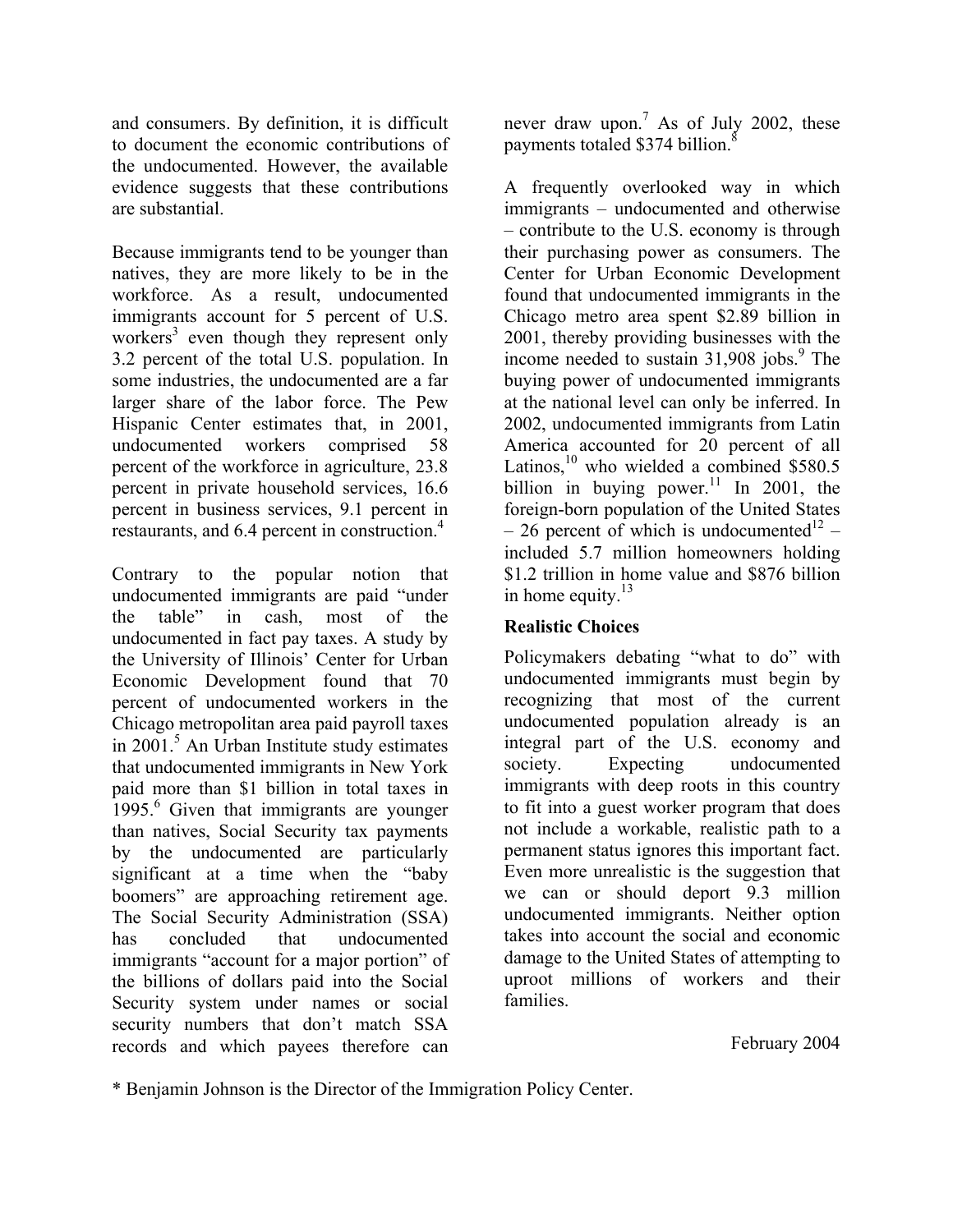and consumers. By definition, it is difficult to document the economic contributions of the undocumented. However, the available evidence suggests that these contributions are substantial.

Because immigrants tend to be younger than natives, they are more likely to be in the workforce. As a result, undocumented immigrants account for 5 percent of U.S. workers<sup>3</sup> even though they represent only 3.2 percent of the total U.S. population. In some industries, the undocumented are a far larger share of the labor force. The Pew Hispanic Center estimates that, in 2001, undocumented workers comprised 58 percent of the workforce in agriculture, 23.8 percent in private household services, 16.6 percent in business services, 9.1 percent in restaurants, and 6.4 percent in construction.<sup>4</sup>

Contrary to the popular notion that undocumented immigrants are paid "under the table" in cash, most of the undocumented in fact pay taxes. A study by the University of Illinois' Center for Urban Economic Development found that 70 percent of undocumented workers in the Chicago metropolitan area paid payroll taxes in 2001.<sup>5</sup> An Urban Institute study estimates that undocumented immigrants in New York paid more than \$1 billion in total taxes in 1995.<sup>6</sup> Given that immigrants are younger than natives, Social Security tax payments by the undocumented are particularly significant at a time when the "baby" boomers" are approaching retirement age. The Social Security Administration (SSA) has concluded that undocumented immigrants "account for a major portion" of the billions of dollars paid into the Social Security system under names or social security numbers that don't match SSA records and which payees therefore can

never draw upon.<sup>7</sup> As of July 2002, these payments totaled \$374 billion.<sup>8</sup>

A frequently overlooked way in which immigrants – undocumented and otherwise – contribute to the U.S. economy is through their purchasing power as consumers. The Center for Urban Economic Development found that undocumented immigrants in the Chicago metro area spent \$2.89 billion in 2001, thereby providing businesses with the income needed to sustain 31,908 jobs.<sup>9</sup> The buying power of undocumented immigrants at the national level can only be inferred. In 2002, undocumented immigrants from Latin America accounted for 20 percent of all Latinos,<sup>10</sup> who wielded a combined \$580.5 billion in buying power.<sup>11</sup> In 2001, the foreign-born population of the United States  $-26$  percent of which is undocumented<sup>12</sup> – included 5.7 million homeowners holding \$1.2 trillion in home value and \$876 billion in home equity. $13$ 

### **Realistic Choices**

Policymakers debating "what to do" with undocumented immigrants must begin by recognizing that most of the current undocumented population already is an integral part of the U.S. economy and society. Expecting undocumented immigrants with deep roots in this country to fit into a guest worker program that does not include a workable, realistic path to a permanent status ignores this important fact. Even more unrealistic is the suggestion that we can or should deport 9.3 million undocumented immigrants. Neither option takes into account the social and economic damage to the United States of attempting to uproot millions of workers and their families.

February 2004

\* Benjamin Johnson is the Director of the Immigration Policy Center.